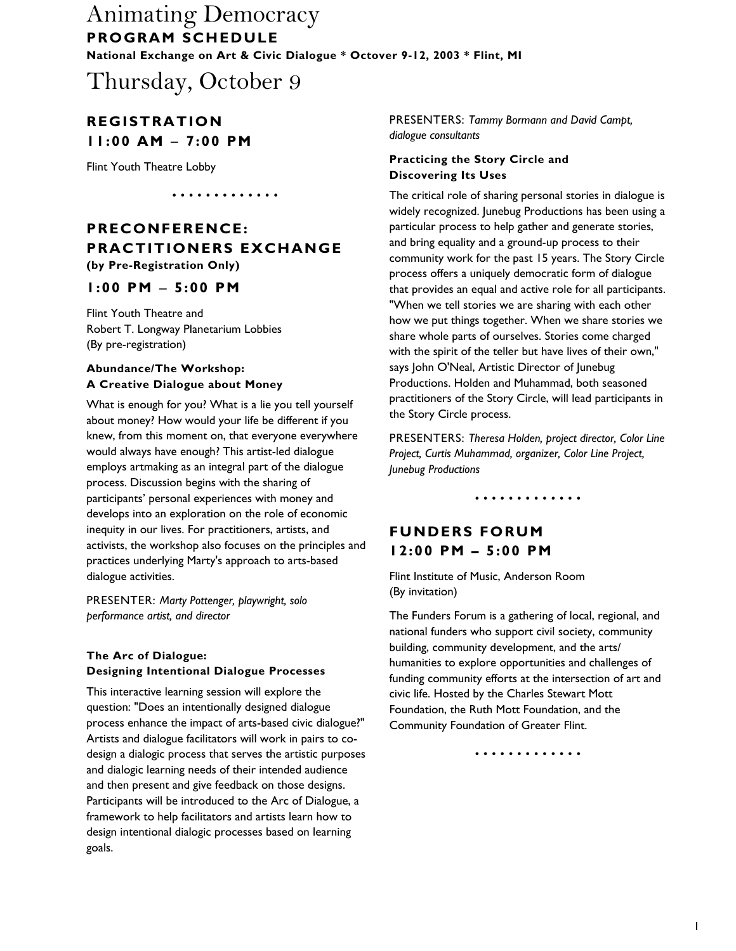Thursday, October 9

### **REGISTRATION 11:00 AM** − **7:00 PM**

Flint Youth Theatre Lobby

•••• ••• • •••• •

### **PRECONFERENCE: PRACTITIONERS EXCHANGE (by Pre-Registration Only)**

### **1:00 PM** − **5:00 PM**

Flint Youth Theatre and Robert T. Longway Planetarium Lobbies (By pre-registration)

#### **Abundance/The Workshop: A Creative Dialogue about Money**

What is enough for you? What is a lie you tell yourself about money? How would your life be different if you knew, from this moment on, that everyone everywhere would always have enough? This artist-led dialogue employs artmaking as an integral part of the dialogue process. Discussion begins with the sharing of participants' personal experiences with money and develops into an exploration on the role of economic inequity in our lives. For practitioners, artists, and activists, the workshop also focuses on the principles and practices underlying Marty's approach to arts-based dialogue activities.

PRESENTER: *Marty Pottenger, playwright, solo performance artist, and director*

#### **The Arc of Dialogue: Designing Intentional Dialogue Processes**

This interactive learning session will explore the question: "Does an intentionally designed dialogue process enhance the impact of arts-based civic dialogue?" Artists and dialogue facilitators will work in pairs to codesign a dialogic process that serves the artistic purposes and dialogic learning needs of their intended audience and then present and give feedback on those designs. Participants will be introduced to the Arc of Dialogue, a framework to help facilitators and artists learn how to design intentional dialogic processes based on learning goals.

PRESENTERS: *Tammy Bormann and David Campt, dialogue consultants*

#### **Practicing the Story Circle and Discovering Its Uses**

The critical role of sharing personal stories in dialogue is widely recognized. Junebug Productions has been using a particular process to help gather and generate stories, and bring equality and a ground-up process to their community work for the past 15 years. The Story Circle process offers a uniquely democratic form of dialogue that provides an equal and active role for all participants. "When we tell stories we are sharing with each other how we put things together. When we share stories we share whole parts of ourselves. Stories come charged with the spirit of the teller but have lives of their own," says John O'Neal, Artistic Director of Junebug Productions. Holden and Muhammad, both seasoned practitioners of the Story Circle, will lead participants in the Story Circle process.

PRESENTERS: *Theresa Holden, project director, Color Line Project, Curtis Muhammad, organizer, Color Line Project, Junebug Productions*

•••• ••• • •••• •

### **FUNDERS FORUM 12:00 PM – 5:00 PM**

Flint Institute of Music, Anderson Room (By invitation)

The Funders Forum is a gathering of local, regional, and national funders who support civil society, community building, community development, and the arts/ humanities to explore opportunities and challenges of funding community efforts at the intersection of art and civic life. Hosted by the Charles Stewart Mott Foundation, the Ruth Mott Foundation, and the Community Foundation of Greater Flint.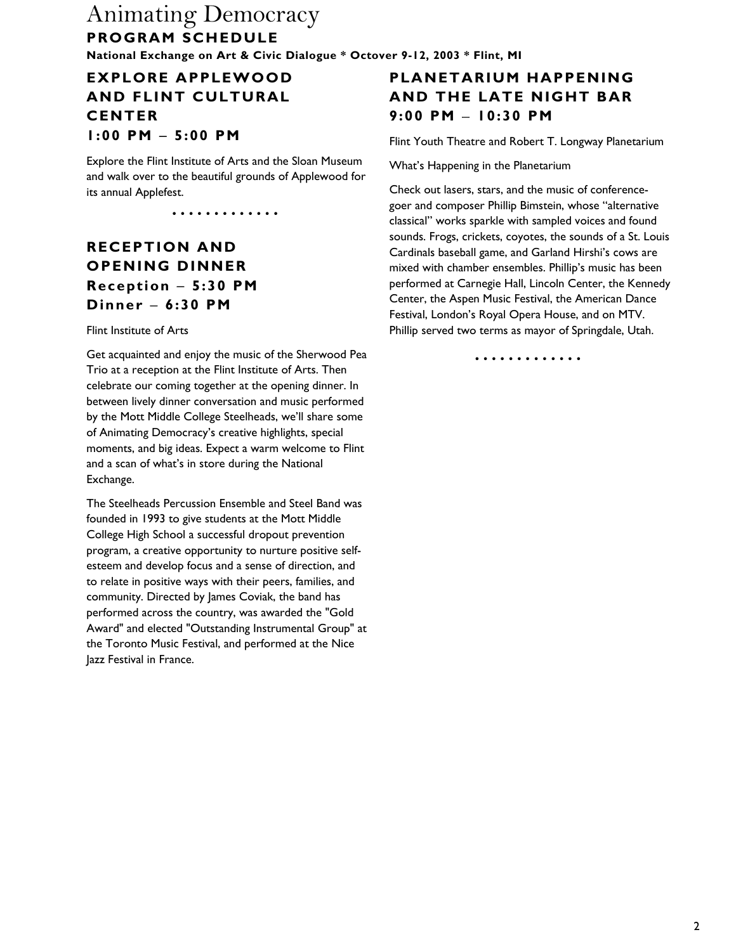## **EXPLORE APPLEWOOD AND FLINT CULTURAL CENTER 1:00 PM** − **5:00 PM**

Explore the Flint Institute of Arts and the Sloan Museum and walk over to the beautiful grounds of Applewood for its annual Applefest.

•••• ••• • •••• •

# **RECEPTION AND OPENING DINNER Reception** − **5:30 PM Dinner** − **6:30 PM**

#### Flint Institute of Arts

Get acquainted and enjoy the music of the Sherwood Pea Trio at a reception at the Flint Institute of Arts. Then celebrate our coming together at the opening dinner. In between lively dinner conversation and music performed by the Mott Middle College Steelheads, we'll share some of Animating Democracy's creative highlights, special moments, and big ideas. Expect a warm welcome to Flint and a scan of what's in store during the National Exchange.

The Steelheads Percussion Ensemble and Steel Band was founded in 1993 to give students at the Mott Middle College High School a successful dropout prevention program, a creative opportunity to nurture positive selfesteem and develop focus and a sense of direction, and to relate in positive ways with their peers, families, and community. Directed by James Coviak, the band has performed across the country, was awarded the "Gold Award" and elected "Outstanding Instrumental Group" at the Toronto Music Festival, and performed at the Nice Jazz Festival in France.

## **PLANETARIUM HAPPENING AND THE LATE NIGHT BAR 9:00 PM** − **10:30 PM**

Flint Youth Theatre and Robert T. Longway Planetarium

What's Happening in the Planetarium

Check out lasers, stars, and the music of conferencegoer and composer Phillip Bimstein, whose "alternative classical" works sparkle with sampled voices and found sounds. Frogs, crickets, coyotes, the sounds of a St. Louis Cardinals baseball game, and Garland Hirshi's cows are mixed with chamber ensembles. Phillip's music has been performed at Carnegie Hall, Lincoln Center, the Kennedy Center, the Aspen Music Festival, the American Dance Festival, London's Royal Opera House, and on MTV. Phillip served two terms as mayor of Springdale, Utah.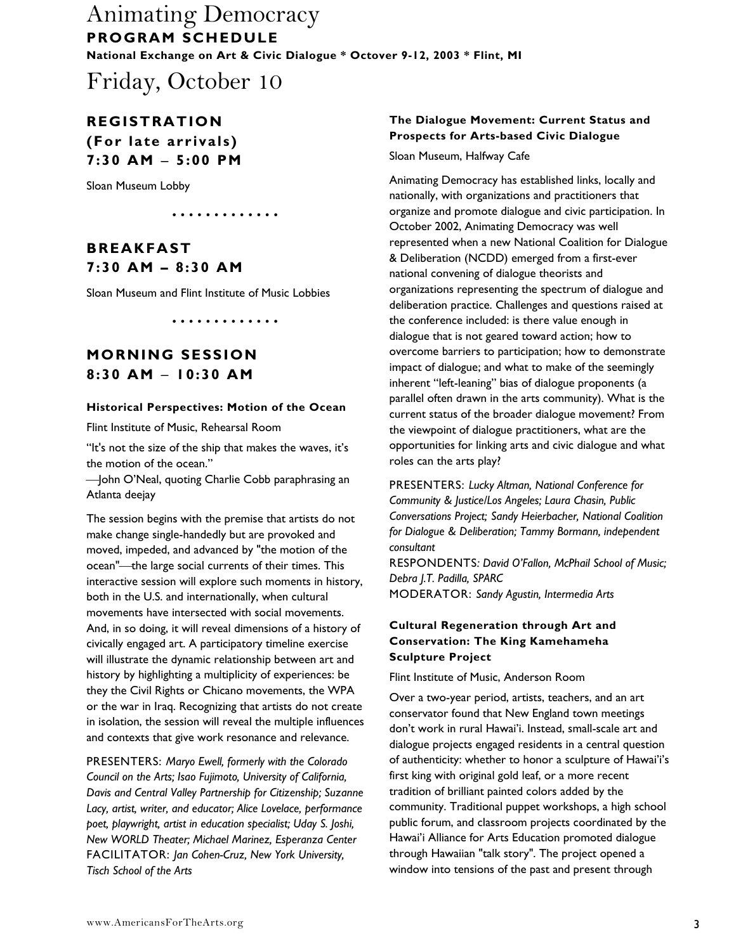Friday, October 10

### **REGISTRATION (For late arrivals) 7:30 AM** − **5:00 PM**

Sloan Museum Lobby

## **BREAKFAST 7:30 AM – 8:30 AM**

Sloan Museum and Flint Institute of Music Lobbies

•••• ••• • •••• •

•••• ••• • •••• •

### **MORNING SESSION 8:30 AM** − **10:30 AM**

#### **Historical Perspectives: Motion of the Ocean**

Flint Institute of Music, Rehearsal Room

"It's not the size of the ship that makes the waves, it's the motion of the ocean."

-John O'Neal, quoting Charlie Cobb paraphrasing an Atlanta deejay

The session begins with the premise that artists do not make change single-handedly but are provoked and moved, impeded, and advanced by "the motion of the ocean"—the large social currents of their times. This interactive session will explore such moments in history, both in the U.S. and internationally, when cultural movements have intersected with social movements. And, in so doing, it will reveal dimensions of a history of civically engaged art. A participatory timeline exercise will illustrate the dynamic relationship between art and history by highlighting a multiplicity of experiences: be they the Civil Rights or Chicano movements, the WPA or the war in Iraq. Recognizing that artists do not create in isolation, the session will reveal the multiple influences and contexts that give work resonance and relevance.

PRESENTERS: *Maryo Ewell, formerly with the Colorado Council on the Arts; Isao Fujimoto, University of California, Davis and Central Valley Partnership for Citizenship; Suzanne Lacy, artist, writer, and educator; Alice Lovelace, performance poet, playwright, artist in education specialist; Uday S. Joshi, New WORLD Theater; Michael Marinez, Esperanza Center*  FACILITATOR: *Jan Cohen-Cruz, New York University, Tisch School of the Arts* 

### **The Dialogue Movement: Current Status and Prospects for Arts-based Civic Dialogue**

Sloan Museum, Halfway Cafe

Animating Democracy has established links, locally and nationally, with organizations and practitioners that organize and promote dialogue and civic participation. In October 2002, Animating Democracy was well represented when a new National Coalition for Dialogue & Deliberation (NCDD) emerged from a first-ever national convening of dialogue theorists and organizations representing the spectrum of dialogue and deliberation practice. Challenges and questions raised at the conference included: is there value enough in dialogue that is not geared toward action; how to overcome barriers to participation; how to demonstrate impact of dialogue; and what to make of the seemingly inherent "left-leaning" bias of dialogue proponents (a parallel often drawn in the arts community). What is the current status of the broader dialogue movement? From the viewpoint of dialogue practitioners, what are the opportunities for linking arts and civic dialogue and what roles can the arts play?

PRESENTERS: *Lucky Altman, National Conference for Community & Justice/Los Angeles; Laura Chasin, Public Conversations Project; Sandy Heierbacher, National Coalition for Dialogue & Deliberation; Tammy Bormann, independent consultant*  RESPONDENTS*: David O'Fallon, McPhail School of Music; Debra J.T. Padilla, SPARC*  MODERATOR: *Sandy Agustin, Intermedia Arts* 

#### **Cultural Regeneration through Art and Conservation: The King Kamehameha Sculpture Project**

Flint Institute of Music, Anderson Room

Over a two-year period, artists, teachers, and an art conservator found that New England town meetings don't work in rural Hawai'i. Instead, small-scale art and dialogue projects engaged residents in a central question of authenticity: whether to honor a sculpture of Hawai'i's first king with original gold leaf, or a more recent tradition of brilliant painted colors added by the community. Traditional puppet workshops, a high school public forum, and classroom projects coordinated by the Hawai'i Alliance for Arts Education promoted dialogue through Hawaiian "talk story". The project opened a window into tensions of the past and present through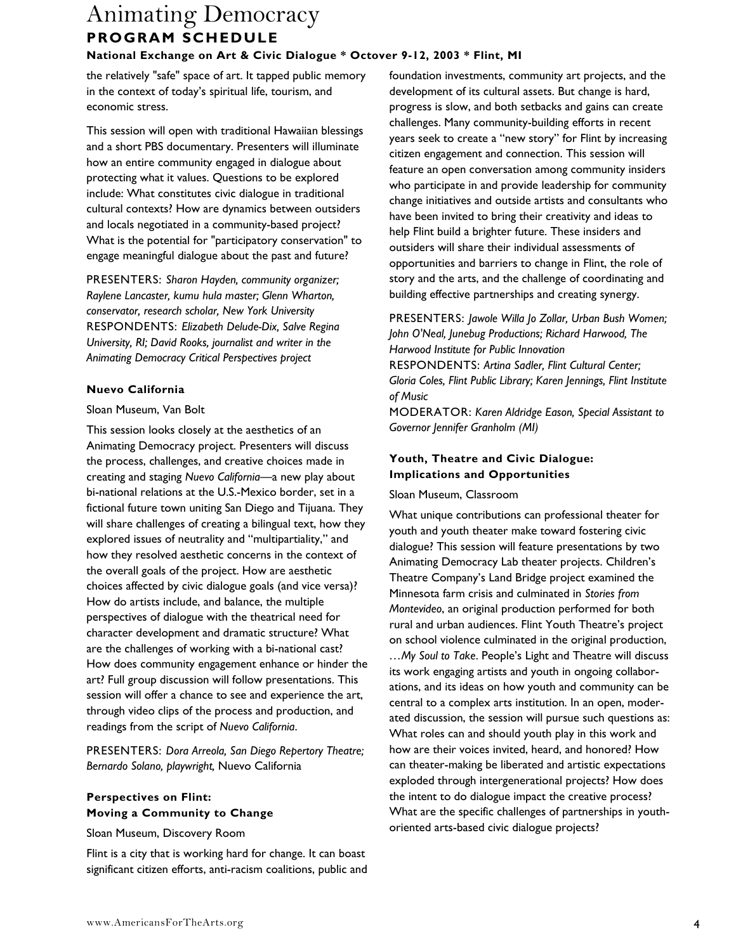the relatively "safe" space of art. It tapped public memory in the context of today's spiritual life, tourism, and economic stress.

This session will open with traditional Hawaiian blessings and a short PBS documentary. Presenters will illuminate how an entire community engaged in dialogue about protecting what it values. Questions to be explored include: What constitutes civic dialogue in traditional cultural contexts? How are dynamics between outsiders and locals negotiated in a community-based project? What is the potential for "participatory conservation" to engage meaningful dialogue about the past and future?

PRESENTERS: *Sharon Hayden, community organizer; Raylene Lancaster, kumu hula master; Glenn Wharton, conservator, research scholar, New York University*  RESPONDENTS: *Elizabeth Delude-Dix, Salve Regina University, RI; David Rooks, journalist and writer in the Animating Democracy Critical Perspectives project* 

#### **Nuevo California**

#### Sloan Museum, Van Bolt

This session looks closely at the aesthetics of an Animating Democracy project. Presenters will discuss the process, challenges, and creative choices made in creating and staging *Nuevo California*—a new play about bi-national relations at the U.S.-Mexico border, set in a fictional future town uniting San Diego and Tijuana. They will share challenges of creating a bilingual text, how they explored issues of neutrality and "multipartiality," and how they resolved aesthetic concerns in the context of the overall goals of the project. How are aesthetic choices affected by civic dialogue goals (and vice versa)? How do artists include, and balance, the multiple perspectives of dialogue with the theatrical need for character development and dramatic structure? What are the challenges of working with a bi-national cast? How does community engagement enhance or hinder the art? Full group discussion will follow presentations. This session will offer a chance to see and experience the art, through video clips of the process and production, and readings from the script of *Nuevo California*.

PRESENTERS: *Dora Arreola, San Diego Repertory Theatre; Bernardo Solano, playwright,* Nuevo California

#### **Perspectives on Flint: Moving a Community to Change**

Sloan Museum, Discovery Room

Flint is a city that is working hard for change. It can boast significant citizen efforts, anti-racism coalitions, public and foundation investments, community art projects, and the development of its cultural assets. But change is hard, progress is slow, and both setbacks and gains can create challenges. Many community-building efforts in recent years seek to create a "new story" for Flint by increasing citizen engagement and connection. This session will feature an open conversation among community insiders who participate in and provide leadership for community change initiatives and outside artists and consultants who have been invited to bring their creativity and ideas to help Flint build a brighter future. These insiders and outsiders will share their individual assessments of opportunities and barriers to change in Flint, the role of story and the arts, and the challenge of coordinating and building effective partnerships and creating synergy.

PRESENTERS: *Jawole Willa Jo Zollar, Urban Bush Women; John O'Neal, Junebug Productions; Richard Harwood, The Harwood Institute for Public Innovation*  RESPONDENTS: *Artina Sadler, Flint Cultural Center; Gloria Coles, Flint Public Library; Karen Jennings, Flint Institute of Music* 

MODERATOR: *Karen Aldridge Eason, Special Assistant to Governor Jennifer Granholm (MI)* 

#### **Youth, Theatre and Civic Dialogue: Implications and Opportunities**

#### Sloan Museum, Classroom

What unique contributions can professional theater for youth and youth theater make toward fostering civic dialogue? This session will feature presentations by two Animating Democracy Lab theater projects. Children's Theatre Company's Land Bridge project examined the Minnesota farm crisis and culminated in *Stories from Montevideo*, an original production performed for both rural and urban audiences. Flint Youth Theatre's project on school violence culminated in the original production, *…My Soul to Take*. People's Light and Theatre will discuss its work engaging artists and youth in ongoing collaborations, and its ideas on how youth and community can be central to a complex arts institution. In an open, moderated discussion, the session will pursue such questions as: What roles can and should youth play in this work and how are their voices invited, heard, and honored? How can theater-making be liberated and artistic expectations exploded through intergenerational projects? How does the intent to do dialogue impact the creative process? What are the specific challenges of partnerships in youthoriented arts-based civic dialogue projects?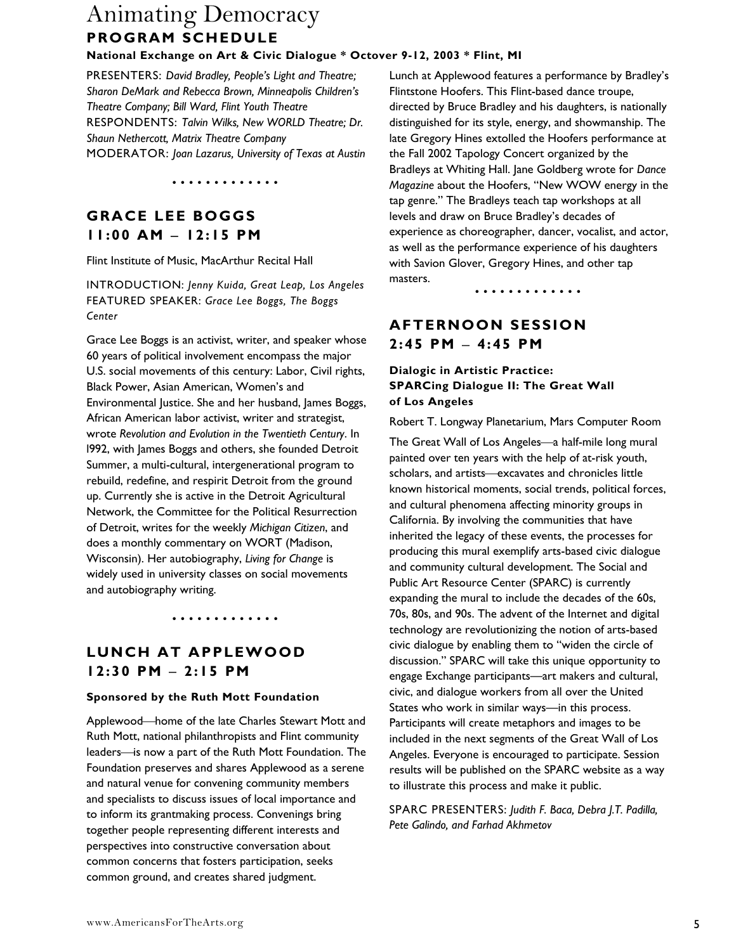#### **National Exchange on Art & Civic Dialogue \* Octover 9-12, 2003 \* Flint, MI**

PRESENTERS: *David Bradley, People's Light and Theatre; Sharon DeMark and Rebecca Brown, Minneapolis Children's Theatre Company; Bill Ward, Flint Youth Theatre*  RESPONDENTS: *Talvin Wilks, New WORLD Theatre; Dr. Shaun Nethercott, Matrix Theatre Company*  MODERATOR: *Joan Lazarus, University of Texas at Austin*

•••• ••• • •••• •

## **GRACE LEE BOGGS 11:00 AM** − **12:15 PM**

Flint Institute of Music, MacArthur Recital Hall

INTRODUCTION: *Jenny Kuida, Great Leap, Los Angeles*  FEATURED SPEAKER: *Grace Lee Boggs, The Boggs Center* 

Grace Lee Boggs is an activist, writer, and speaker whose 60 years of political involvement encompass the major U.S. social movements of this century: Labor, Civil rights, Black Power, Asian American, Women's and Environmental Justice. She and her husband, James Boggs, African American labor activist, writer and strategist, wrote *Revolution and Evolution in the Twentieth Century*. In l992, with James Boggs and others, she founded Detroit Summer, a multi-cultural, intergenerational program to rebuild, redefine, and respirit Detroit from the ground up. Currently she is active in the Detroit Agricultural Network, the Committee for the Political Resurrection of Detroit, writes for the weekly *Michigan Citizen*, and does a monthly commentary on WORT (Madison, Wisconsin). Her autobiography, *Living for Change* is widely used in university classes on social movements and autobiography writing.

•••• ••• • •••• •

### **LUNCH AT APPLEWOOD 12:30 PM** − **2:15 PM**

#### **Sponsored by the Ruth Mott Foundation**

Applewood—home of the late Charles Stewart Mott and Ruth Mott, national philanthropists and Flint community leaders-is now a part of the Ruth Mott Foundation. The Foundation preserves and shares Applewood as a serene and natural venue for convening community members and specialists to discuss issues of local importance and to inform its grantmaking process. Convenings bring together people representing different interests and perspectives into constructive conversation about common concerns that fosters participation, seeks common ground, and creates shared judgment.

Lunch at Applewood features a performance by Bradley's Flintstone Hoofers. This Flint-based dance troupe, directed by Bruce Bradley and his daughters, is nationally distinguished for its style, energy, and showmanship. The late Gregory Hines extolled the Hoofers performance at the Fall 2002 Tapology Concert organized by the Bradleys at Whiting Hall. Jane Goldberg wrote for *Dance Magazine* about the Hoofers, "New WOW energy in the tap genre." The Bradleys teach tap workshops at all levels and draw on Bruce Bradley's decades of experience as choreographer, dancer, vocalist, and actor, as well as the performance experience of his daughters with Savion Glover, Gregory Hines, and other tap masters.

•••• ••• • •••• •

### **AFTERNOON SESSION 2:45 PM** − **4:45 PM**

#### **Dialogic in Artistic Practice: SPARCing Dialogue II: The Great Wall of Los Angeles**

Robert T. Longway Planetarium, Mars Computer Room

The Great Wall of Los Angeles—a half-mile long mural painted over ten years with the help of at-risk youth, scholars, and artists-excavates and chronicles little known historical moments, social trends, political forces, and cultural phenomena affecting minority groups in California. By involving the communities that have inherited the legacy of these events, the processes for producing this mural exemplify arts-based civic dialogue and community cultural development. The Social and Public Art Resource Center (SPARC) is currently expanding the mural to include the decades of the 60s, 70s, 80s, and 90s. The advent of the Internet and digital technology are revolutionizing the notion of arts-based civic dialogue by enabling them to "widen the circle of discussion." SPARC will take this unique opportunity to engage Exchange participants—art makers and cultural, civic, and dialogue workers from all over the United States who work in similar ways—in this process. Participants will create metaphors and images to be included in the next segments of the Great Wall of Los Angeles. Everyone is encouraged to participate. Session results will be published on the SPARC website as a way to illustrate this process and make it public.

SPARC PRESENTERS: *Judith F. Baca, Debra J.T. Padilla, Pete Galindo, and Farhad Akhmetov*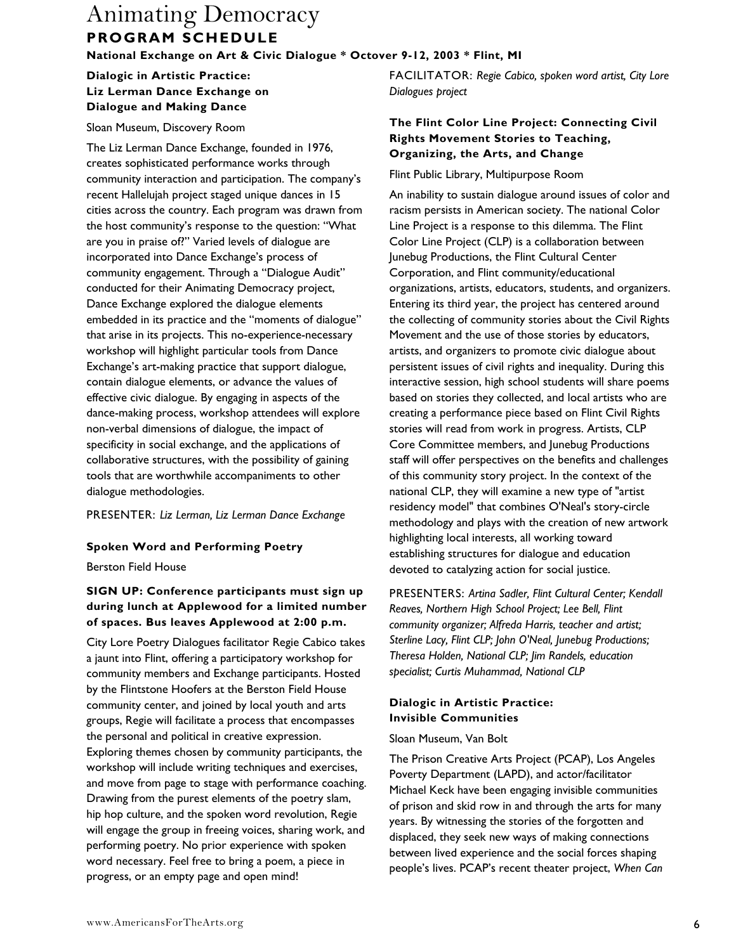### **Dialogic in Artistic Practice: Liz Lerman Dance Exchange on Dialogue and Making Dance**

#### Sloan Museum, Discovery Room

The Liz Lerman Dance Exchange, founded in 1976, creates sophisticated performance works through community interaction and participation. The company's recent Hallelujah project staged unique dances in 15 cities across the country. Each program was drawn from the host community's response to the question: "What are you in praise of?" Varied levels of dialogue are incorporated into Dance Exchange's process of community engagement. Through a "Dialogue Audit" conducted for their Animating Democracy project, Dance Exchange explored the dialogue elements embedded in its practice and the "moments of dialogue" that arise in its projects. This no-experience-necessary workshop will highlight particular tools from Dance Exchange's art-making practice that support dialogue, contain dialogue elements, or advance the values of effective civic dialogue. By engaging in aspects of the dance-making process, workshop attendees will explore non-verbal dimensions of dialogue, the impact of specificity in social exchange, and the applications of collaborative structures, with the possibility of gaining tools that are worthwhile accompaniments to other dialogue methodologies.

PRESENTER: *Liz Lerman, Liz Lerman Dance Exchange* 

#### **Spoken Word and Performing Poetry**

Berston Field House

#### **SIGN UP: Conference participants must sign up during lunch at Applewood for a limited number of spaces. Bus leaves Applewood at 2:00 p.m.**

City Lore Poetry Dialogues facilitator Regie Cabico takes a jaunt into Flint, offering a participatory workshop for community members and Exchange participants. Hosted by the Flintstone Hoofers at the Berston Field House community center, and joined by local youth and arts groups, Regie will facilitate a process that encompasses the personal and political in creative expression. Exploring themes chosen by community participants, the workshop will include writing techniques and exercises, and move from page to stage with performance coaching. Drawing from the purest elements of the poetry slam, hip hop culture, and the spoken word revolution, Regie will engage the group in freeing voices, sharing work, and performing poetry. No prior experience with spoken word necessary. Feel free to bring a poem, a piece in progress, or an empty page and open mind!

FACILITATOR: *Regie Cabico, spoken word artist, City Lore Dialogues project* 

#### **The Flint Color Line Project: Connecting Civil Rights Movement Stories to Teaching, Organizing, the Arts, and Change**

#### Flint Public Library, Multipurpose Room

An inability to sustain dialogue around issues of color and racism persists in American society. The national Color Line Project is a response to this dilemma. The Flint Color Line Project (CLP) is a collaboration between Junebug Productions, the Flint Cultural Center Corporation, and Flint community/educational organizations, artists, educators, students, and organizers. Entering its third year, the project has centered around the collecting of community stories about the Civil Rights Movement and the use of those stories by educators, artists, and organizers to promote civic dialogue about persistent issues of civil rights and inequality. During this interactive session, high school students will share poems based on stories they collected, and local artists who are creating a performance piece based on Flint Civil Rights stories will read from work in progress. Artists, CLP Core Committee members, and Junebug Productions staff will offer perspectives on the benefits and challenges of this community story project. In the context of the national CLP, they will examine a new type of "artist residency model" that combines O'Neal's story-circle methodology and plays with the creation of new artwork highlighting local interests, all working toward establishing structures for dialogue and education devoted to catalyzing action for social justice.

PRESENTERS: *Artina Sadler, Flint Cultural Center; Kendall Reaves, Northern High School Project; Lee Bell, Flint community organizer; Alfreda Harris, teacher and artist; Sterline Lacy, Flint CLP; John O'Neal, Junebug Productions; Theresa Holden, National CLP; Jim Randels, education specialist; Curtis Muhammad, National CLP* 

#### **Dialogic in Artistic Practice: Invisible Communities**

#### Sloan Museum, Van Bolt

The Prison Creative Arts Project (PCAP), Los Angeles Poverty Department (LAPD), and actor/facilitator Michael Keck have been engaging invisible communities of prison and skid row in and through the arts for many years. By witnessing the stories of the forgotten and displaced, they seek new ways of making connections between lived experience and the social forces shaping people's lives. PCAP's recent theater project, *When Can*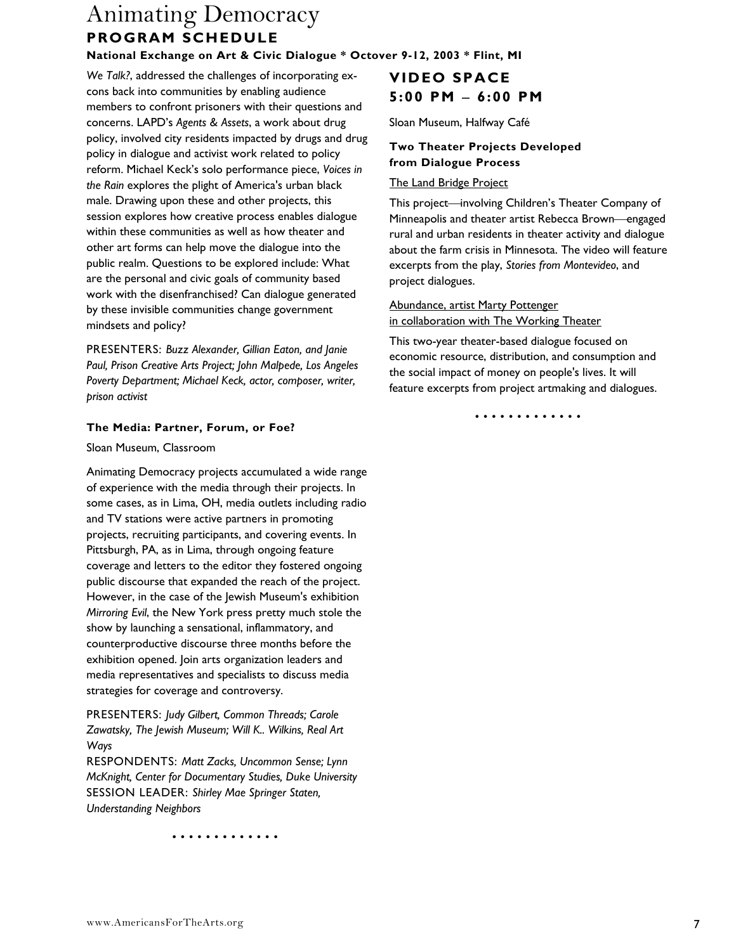**National Exchange on Art & Civic Dialogue \* Octover 9-12, 2003 \* Flint, MI** 

*We Talk?*, addressed the challenges of incorporating excons back into communities by enabling audience members to confront prisoners with their questions and concerns. LAPD's *Agents & Assets*, a work about drug policy, involved city residents impacted by drugs and drug policy in dialogue and activist work related to policy reform. Michael Keck's solo performance piece, *Voices in the Rain* explores the plight of America's urban black male. Drawing upon these and other projects, this session explores how creative process enables dialogue within these communities as well as how theater and other art forms can help move the dialogue into the public realm. Questions to be explored include: What are the personal and civic goals of community based work with the disenfranchised? Can dialogue generated by these invisible communities change government mindsets and policy?

PRESENTERS: *Buzz Alexander, Gillian Eaton, and Janie Paul, Prison Creative Arts Project; John Malpede, Los Angeles Poverty Department; Michael Keck, actor, composer, writer, prison activist* 

#### **The Media: Partner, Forum, or Foe?**

Sloan Museum, Classroom

Animating Democracy projects accumulated a wide range of experience with the media through their projects. In some cases, as in Lima, OH, media outlets including radio and TV stations were active partners in promoting projects, recruiting participants, and covering events. In Pittsburgh, PA, as in Lima, through ongoing feature coverage and letters to the editor they fostered ongoing public discourse that expanded the reach of the project. However, in the case of the Jewish Museum's exhibition *Mirroring Evil*, the New York press pretty much stole the show by launching a sensational, inflammatory, and counterproductive discourse three months before the exhibition opened. Join arts organization leaders and media representatives and specialists to discuss media strategies for coverage and controversy.

PRESENTERS: *Judy Gilbert, Common Threads; Carole Zawatsky, The Jewish Museum; Will K.. Wilkins, Real Art Ways* 

RESPONDENTS: *Matt Zacks, Uncommon Sense; Lynn McKnight, Center for Documentary Studies, Duke University*  SESSION LEADER: *Shirley Mae Springer Staten, Understanding Neighbors* 

•••• ••• • •••• •

# **VIDEO SPACE 5:00 PM** − **6:00 PM**

Sloan Museum, Halfway Café

#### **Two Theater Projects Developed from Dialogue Process**

#### The Land Bridge Project

This project—involving Children's Theater Company of Minneapolis and theater artist Rebecca Brown—engaged rural and urban residents in theater activity and dialogue about the farm crisis in Minnesota. The video will feature excerpts from the play, *Stories from Montevideo*, and project dialogues.

Abundance, artist Marty Pottenger in collaboration with The Working Theater

This two-year theater-based dialogue focused on economic resource, distribution, and consumption and the social impact of money on people's lives. It will feature excerpts from project artmaking and dialogues.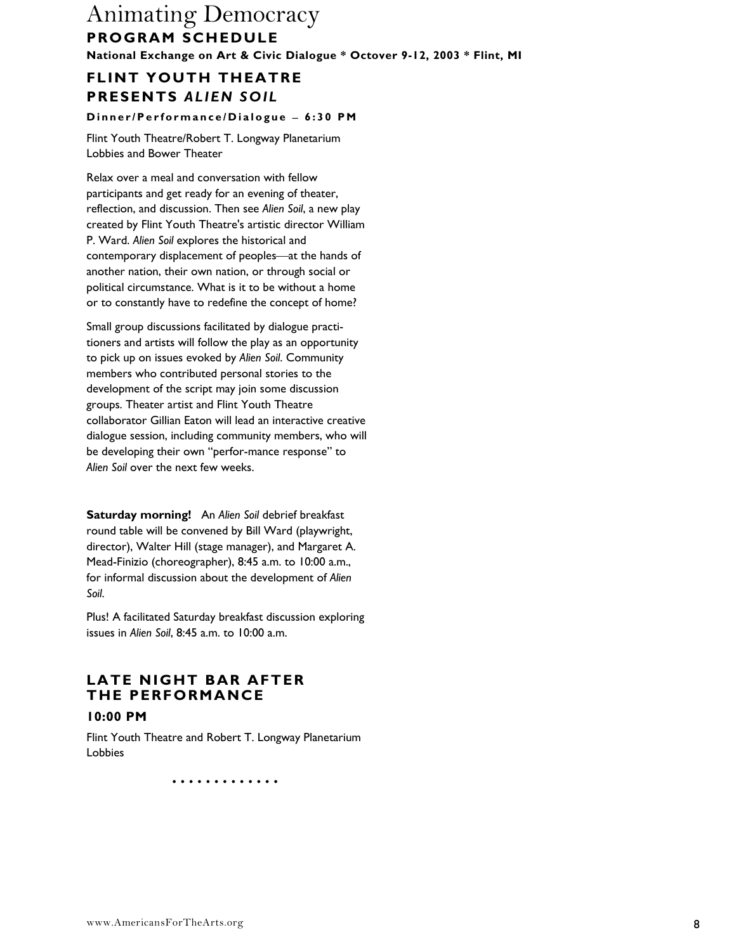# **FLINT YOUTH THEATRE PRESENTS** *ALIEN SOIL*

**D i nner/Pe rforma nce/Di a l ogue** − **6 : 30 PM** 

Flint Youth Theatre/Robert T. Longway Planetarium Lobbies and Bower Theater

Relax over a meal and conversation with fellow participants and get ready for an evening of theater, reflection, and discussion. Then see *Alien Soil*, a new play created by Flint Youth Theatre's artistic director William P. Ward. *Alien Soil* explores the historical and contemporary displacement of peoples—at the hands of another nation, their own nation, or through social or political circumstance. What is it to be without a home or to constantly have to redefine the concept of home?

Small group discussions facilitated by dialogue practitioners and artists will follow the play as an opportunity to pick up on issues evoked by *Alien Soil*. Community members who contributed personal stories to the development of the script may join some discussion groups. Theater artist and Flint Youth Theatre collaborator Gillian Eaton will lead an interactive creative dialogue session, including community members, who will be developing their own "perfor-mance response" to *Alien Soil* over the next few weeks.

**Saturday morning!** An *Alien Soil* debrief breakfast round table will be convened by Bill Ward (playwright, director), Walter Hill (stage manager), and Margaret A. Mead-Finizio (choreographer), 8:45 a.m. to 10:00 a.m., for informal discussion about the development of *Alien Soil*.

Plus! A facilitated Saturday breakfast discussion exploring issues in *Alien Soil*, 8:45 a.m. to 10:00 a.m.

### **LATE NIGHT BAR AFTER THE PERFORMANCE 10:00 PM**

Flint Youth Theatre and Robert T. Longway Planetarium Lobbies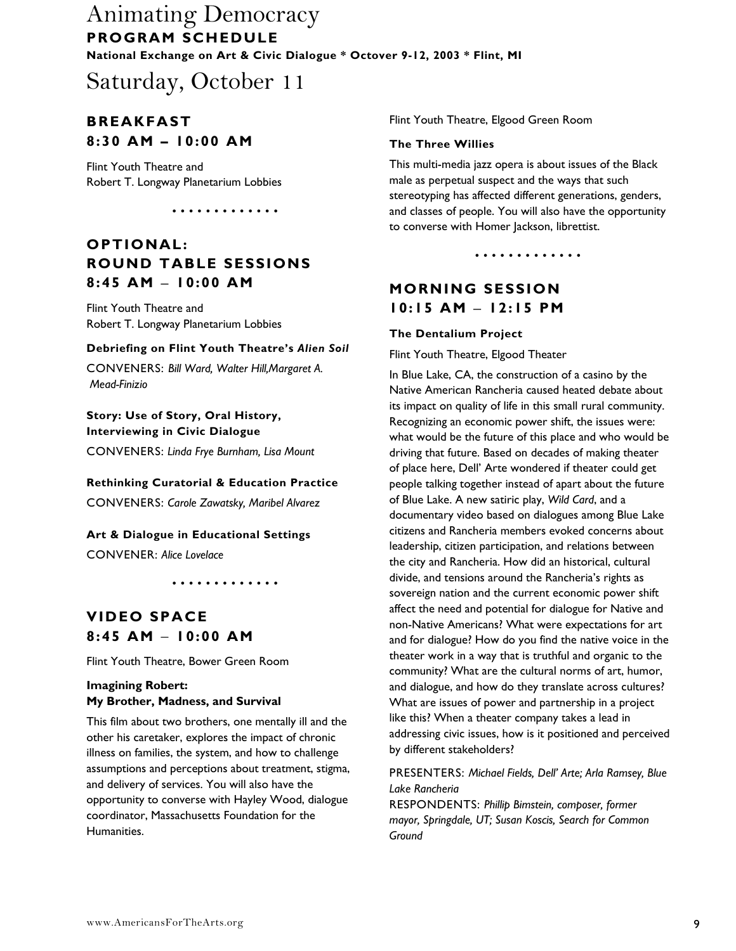# Saturday, October 11

### **BREAKFAST 8:30 AM – 10:00 AM**

Flint Youth Theatre and Robert T. Longway Planetarium Lobbies

•••• ••• • •••• •

### **OPTIONAL: ROUND TABLE SESSIONS 8:45 AM** − **10:00 AM**

Flint Youth Theatre and Robert T. Longway Planetarium Lobbies

#### **Debriefing on Flint Youth Theatre's** *Alien Soil*

CONVENERS: *Bill Ward, Walter Hill,Margaret A. Mead-Finizio*

#### **Story: Use of Story, Oral History, Interviewing in Civic Dialogue**

CONVENERS: *Linda Frye Burnham, Lisa Mount*

#### **Rethinking Curatorial & Education Practice**

CONVENERS: *Carole Zawatsky, Maribel Alvarez*

**Art & Dialogue in Educational Settings**  CONVENER: *Alice Lovelace*

•••• ••• • •••• •

## **VIDEO SPACE 8:45 AM** − **10:00 AM**

Flint Youth Theatre, Bower Green Room

#### **Imagining Robert: My Brother, Madness, and Survival**

This film about two brothers, one mentally ill and the other his caretaker, explores the impact of chronic illness on families, the system, and how to challenge assumptions and perceptions about treatment, stigma, and delivery of services. You will also have the opportunity to converse with Hayley Wood, dialogue coordinator, Massachusetts Foundation for the Humanities.

Flint Youth Theatre, Elgood Green Room

#### **The Three Willies**

This multi-media jazz opera is about issues of the Black male as perpetual suspect and the ways that such stereotyping has affected different generations, genders, and classes of people. You will also have the opportunity to converse with Homer Jackson, librettist.

•••• ••• • •••• •

### **MORNING SESSION 10:15 AM** − **12:15 PM**

#### **The Dentalium Project**

Flint Youth Theatre, Elgood Theater

In Blue Lake, CA, the construction of a casino by the Native American Rancheria caused heated debate about its impact on quality of life in this small rural community. Recognizing an economic power shift, the issues were: what would be the future of this place and who would be driving that future. Based on decades of making theater of place here, Dell' Arte wondered if theater could get people talking together instead of apart about the future of Blue Lake. A new satiric play, *Wild Card*, and a documentary video based on dialogues among Blue Lake citizens and Rancheria members evoked concerns about leadership, citizen participation, and relations between the city and Rancheria. How did an historical, cultural divide, and tensions around the Rancheria's rights as sovereign nation and the current economic power shift affect the need and potential for dialogue for Native and non-Native Americans? What were expectations for art and for dialogue? How do you find the native voice in the theater work in a way that is truthful and organic to the community? What are the cultural norms of art, humor, and dialogue, and how do they translate across cultures? What are issues of power and partnership in a project like this? When a theater company takes a lead in addressing civic issues, how is it positioned and perceived by different stakeholders?

PRESENTERS: *Michael Fields, Dell' Arte; Arla Ramsey, Blue Lake Rancheria*

RESPONDENTS: *Phillip Bimstein, composer, former mayor, Springdale, UT; Susan Koscis, Search for Common Ground*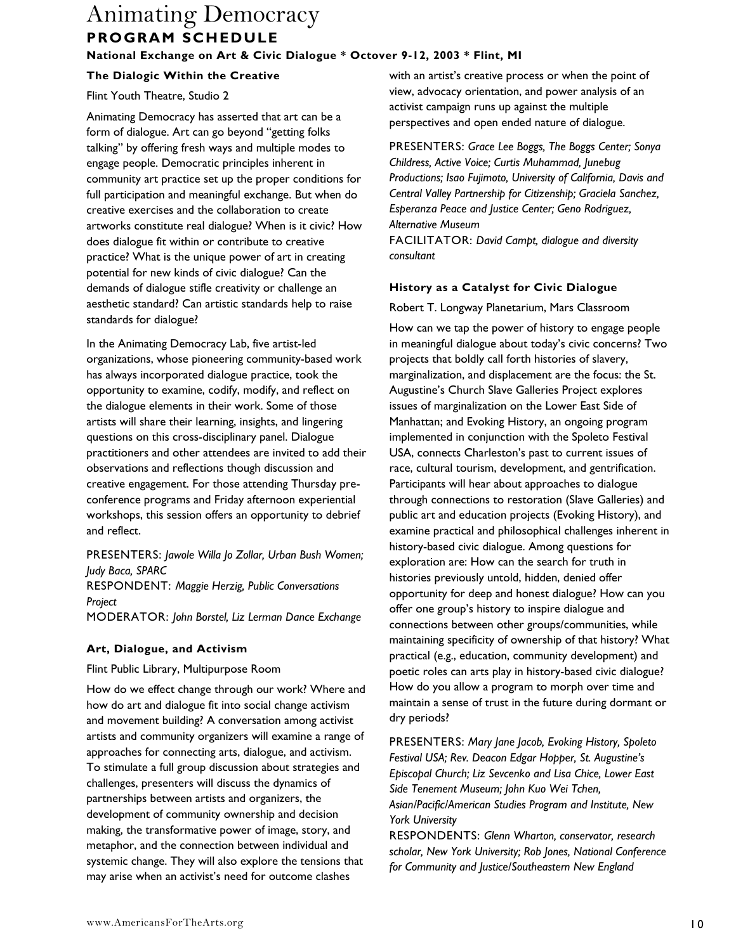#### **National Exchange on Art & Civic Dialogue \* Octover 9-12, 2003 \* Flint, MI**

#### **The Dialogic Within the Creative**

#### Flint Youth Theatre, Studio 2

Animating Democracy has asserted that art can be a form of dialogue. Art can go beyond "getting folks talking" by offering fresh ways and multiple modes to engage people. Democratic principles inherent in community art practice set up the proper conditions for full participation and meaningful exchange. But when do creative exercises and the collaboration to create artworks constitute real dialogue? When is it civic? How does dialogue fit within or contribute to creative practice? What is the unique power of art in creating potential for new kinds of civic dialogue? Can the demands of dialogue stifle creativity or challenge an aesthetic standard? Can artistic standards help to raise standards for dialogue?

In the Animating Democracy Lab, five artist-led organizations, whose pioneering community-based work has always incorporated dialogue practice, took the opportunity to examine, codify, modify, and reflect on the dialogue elements in their work. Some of those artists will share their learning, insights, and lingering questions on this cross-disciplinary panel. Dialogue practitioners and other attendees are invited to add their observations and reflections though discussion and creative engagement. For those attending Thursday preconference programs and Friday afternoon experiential workshops, this session offers an opportunity to debrief and reflect.

PRESENTERS: *Jawole Willa Jo Zollar, Urban Bush Women; Judy Baca, SPARC*  RESPONDENT: *Maggie Herzig, Public Conversations Project* 

MODERATOR: *John Borstel, Liz Lerman Dance Exchange*

#### **Art, Dialogue, and Activism**

Flint Public Library, Multipurpose Room

How do we effect change through our work? Where and how do art and dialogue fit into social change activism and movement building? A conversation among activist artists and community organizers will examine a range of approaches for connecting arts, dialogue, and activism. To stimulate a full group discussion about strategies and challenges, presenters will discuss the dynamics of partnerships between artists and organizers, the development of community ownership and decision making, the transformative power of image, story, and metaphor, and the connection between individual and systemic change. They will also explore the tensions that may arise when an activist's need for outcome clashes

with an artist's creative process or when the point of view, advocacy orientation, and power analysis of an activist campaign runs up against the multiple perspectives and open ended nature of dialogue.

PRESENTERS: *Grace Lee Boggs, The Boggs Center; Sonya Childress, Active Voice; Curtis Muhammad, Junebug Productions; Isao Fujimoto, University of California, Davis and Central Valley Partnership for Citizenship; Graciela Sanchez, Esperanza Peace and Justice Center; Geno Rodriguez, Alternative Museum* 

FACILITATOR: *David Campt, dialogue and diversity consultant* 

#### **History as a Catalyst for Civic Dialogue**

Robert T. Longway Planetarium, Mars Classroom

How can we tap the power of history to engage people in meaningful dialogue about today's civic concerns? Two projects that boldly call forth histories of slavery, marginalization, and displacement are the focus: the St. Augustine's Church Slave Galleries Project explores issues of marginalization on the Lower East Side of Manhattan; and Evoking History, an ongoing program implemented in conjunction with the Spoleto Festival USA, connects Charleston's past to current issues of race, cultural tourism, development, and gentrification. Participants will hear about approaches to dialogue through connections to restoration (Slave Galleries) and public art and education projects (Evoking History), and examine practical and philosophical challenges inherent in history-based civic dialogue. Among questions for exploration are: How can the search for truth in histories previously untold, hidden, denied offer opportunity for deep and honest dialogue? How can you offer one group's history to inspire dialogue and connections between other groups/communities, while maintaining specificity of ownership of that history? What practical (e.g., education, community development) and poetic roles can arts play in history-based civic dialogue? How do you allow a program to morph over time and maintain a sense of trust in the future during dormant or dry periods?

PRESENTERS: *Mary Jane Jacob, Evoking History, Spoleto Festival USA; Rev. Deacon Edgar Hopper, St. Augustine's Episcopal Church; Liz Sevcenko and Lisa Chice, Lower East Side Tenement Museum; John Kuo Wei Tchen, Asian/Pacific/American Studies Program and Institute, New York University*

RESPONDENTS: *Glenn Wharton, conservator, research scholar, New York University; Rob Jones, National Conference for Community and Justice/Southeastern New England*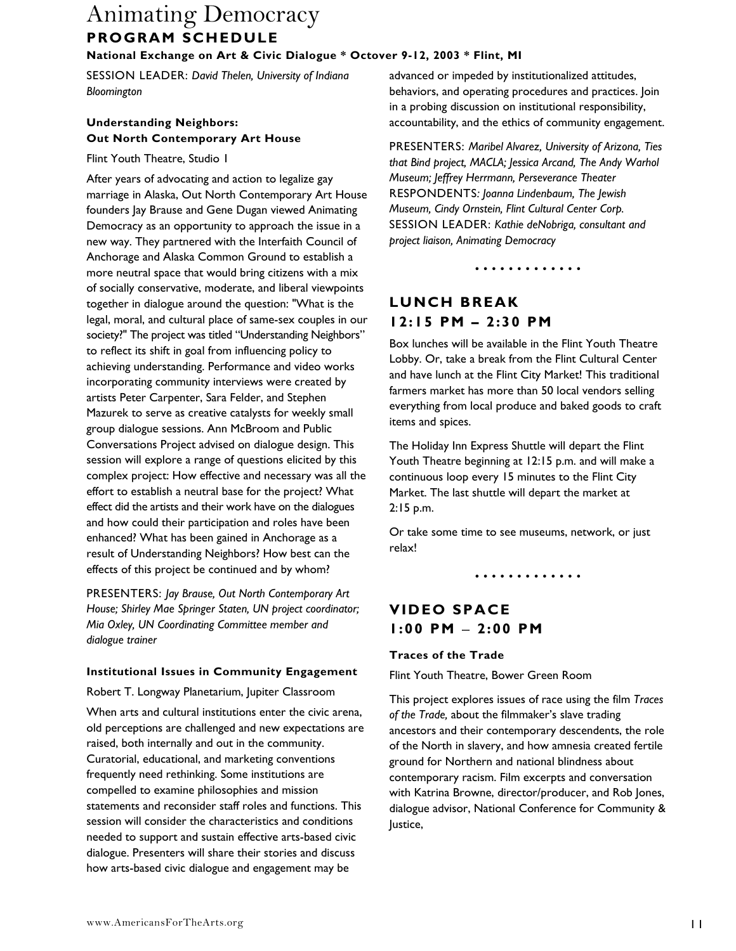#### **National Exchange on Art & Civic Dialogue \* Octover 9-12, 2003 \* Flint, MI**

SESSION LEADER: *David Thelen, University of Indiana Bloomington*

### **Understanding Neighbors: Out North Contemporary Art House**

Flint Youth Theatre, Studio 1

After years of advocating and action to legalize gay marriage in Alaska, Out North Contemporary Art House founders Jay Brause and Gene Dugan viewed Animating Democracy as an opportunity to approach the issue in a new way. They partnered with the Interfaith Council of Anchorage and Alaska Common Ground to establish a more neutral space that would bring citizens with a mix of socially conservative, moderate, and liberal viewpoints together in dialogue around the question: "What is the legal, moral, and cultural place of same-sex couples in our society?" The project was titled "Understanding Neighbors" to reflect its shift in goal from influencing policy to achieving understanding. Performance and video works incorporating community interviews were created by artists Peter Carpenter, Sara Felder, and Stephen Mazurek to serve as creative catalysts for weekly small group dialogue sessions. Ann McBroom and Public Conversations Project advised on dialogue design. This session will explore a range of questions elicited by this complex project: How effective and necessary was all the effort to establish a neutral base for the project? What effect did the artists and their work have on the dialogues and how could their participation and roles have been enhanced? What has been gained in Anchorage as a result of Understanding Neighbors? How best can the effects of this project be continued and by whom?

PRESENTERS: *Jay Brause, Out North Contemporary Art House; Shirley Mae Springer Staten, UN project coordinator; Mia Oxley, UN Coordinating Committee member and dialogue trainer*

#### **Institutional Issues in Community Engagement**

Robert T. Longway Planetarium, Jupiter Classroom

When arts and cultural institutions enter the civic arena, old perceptions are challenged and new expectations are raised, both internally and out in the community. Curatorial, educational, and marketing conventions frequently need rethinking. Some institutions are compelled to examine philosophies and mission statements and reconsider staff roles and functions. This session will consider the characteristics and conditions needed to support and sustain effective arts-based civic dialogue. Presenters will share their stories and discuss how arts-based civic dialogue and engagement may be

advanced or impeded by institutionalized attitudes, behaviors, and operating procedures and practices. Join in a probing discussion on institutional responsibility, accountability, and the ethics of community engagement.

PRESENTERS: *Maribel Alvarez, University of Arizona, Ties that Bind project, MACLA; Jessica Arcand, The Andy Warhol Museum; Jeffrey Herrmann, Perseverance Theater*  RESPONDENTS*: Joanna Lindenbaum, The Jewish Museum, Cindy Ornstein, Flint Cultural Center Corp.*  SESSION LEADER: *Kathie deNobriga, consultant and project liaison, Animating Democracy* 

•••• ••• • •••• •

### **LUNCH BREAK 12:15 PM – 2:30 PM**

Box lunches will be available in the Flint Youth Theatre Lobby. Or, take a break from the Flint Cultural Center and have lunch at the Flint City Market! This traditional farmers market has more than 50 local vendors selling everything from local produce and baked goods to craft items and spices.

The Holiday Inn Express Shuttle will depart the Flint Youth Theatre beginning at 12:15 p.m. and will make a continuous loop every 15 minutes to the Flint City Market. The last shuttle will depart the market at 2:15 p.m.

Or take some time to see museums, network, or just relax!

•••• ••• • •••• •

### **VIDEO SPACE 1:00 PM** − **2:00 PM**

#### **Traces of the Trade**

Flint Youth Theatre, Bower Green Room

This project explores issues of race using the film *Traces of the Trade,* about the filmmaker's slave trading ancestors and their contemporary descendents, the role of the North in slavery, and how amnesia created fertile ground for Northern and national blindness about contemporary racism. Film excerpts and conversation with Katrina Browne, director/producer, and Rob Jones, dialogue advisor, National Conference for Community & Justice,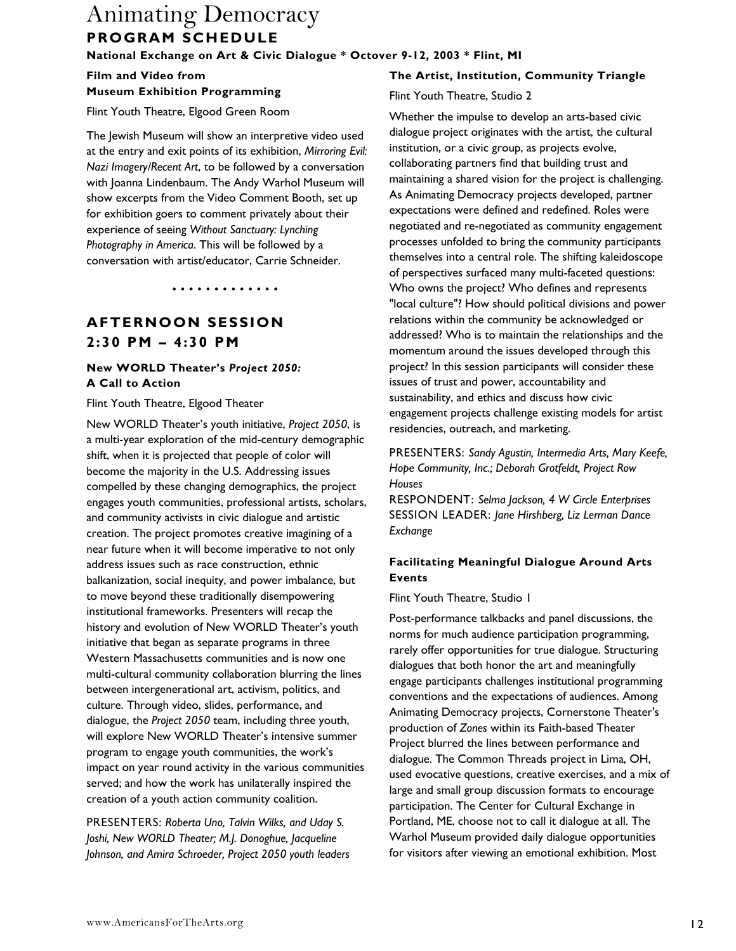**National Exchange on Art & Civic Dialogue \* Octover 9-12, 2003 \* Flint, MI** 

**Film and Video from Museum Exhibition Programming** 

Flint Youth Theatre, Elgood Green Room

The Jewish Museum will show an interpretive video used at the entry and exit points of its exhibition, *Mirroring Evil: Nazi Imagery/Recent Art*, to be followed by a conversation with Joanna Lindenbaum. The Andy Warhol Museum will show excerpts from the Video Comment Booth, set up for exhibition goers to comment privately about their experience of seeing *Without Sanctuary: Lynching Photography in America*. This will be followed by a conversation with artist/educator, Carrie Schneider.

•••• ••• • •••• •

### **AFTERNOON SESSION 2:30 PM – 4:30 PM**

#### **New WORLD Theater's** *Project 2050:* **A Call to Action**

Flint Youth Theatre, Elgood Theater

New WORLD Theater's youth initiative, *Project 2050*, is a multi-year exploration of the mid-century demographic shift, when it is projected that people of color will become the majority in the U.S. Addressing issues compelled by these changing demographics, the project engages youth communities, professional artists, scholars, and community activists in civic dialogue and artistic creation. The project promotes creative imagining of a near future when it will become imperative to not only address issues such as race construction, ethnic balkanization, social inequity, and power imbalance, but to move beyond these traditionally disempowering institutional frameworks. Presenters will recap the history and evolution of New WORLD Theater's youth initiative that began as separate programs in three Western Massachusetts communities and is now one multi-cultural community collaboration blurring the lines between intergenerational art, activism, politics, and culture. Through video, slides, performance, and dialogue, the *Project 2050* team, including three youth, will explore New WORLD Theater's intensive summer program to engage youth communities, the work's impact on year round activity in the various communities served; and how the work has unilaterally inspired the creation of a youth action community coalition.

PRESENTERS: *Roberta Uno, Talvin Wilks, and Uday S. Joshi, New WORLD Theater; M.J. Donoghue, Jacqueline Johnson, and Amira Schroeder, Project 2050 youth leaders*

#### **The Artist, Institution, Community Triangle**

#### Flint Youth Theatre, Studio 2

Whether the impulse to develop an arts-based civic dialogue project originates with the artist, the cultural institution, or a civic group, as projects evolve, collaborating partners find that building trust and maintaining a shared vision for the project is challenging. As Animating Democracy projects developed, partner expectations were defined and redefined. Roles were negotiated and re-negotiated as community engagement processes unfolded to bring the community participants themselves into a central role. The shifting kaleidoscope of perspectives surfaced many multi-faceted questions: Who owns the project? Who defines and represents "local culture"? How should political divisions and power relations within the community be acknowledged or addressed? Who is to maintain the relationships and the momentum around the issues developed through this project? In this session participants will consider these issues of trust and power, accountability and sustainability, and ethics and discuss how civic engagement projects challenge existing models for artist residencies, outreach, and marketing.

PRESENTERS: *Sandy Agustin, Intermedia Arts, Mary Keefe, Hope Community, Inc.; Deborah Grotfeldt, Project Row Houses*

RESPONDENT: *Selma Jackson, 4 W Circle Enterprises* SESSION LEADER: *Jane Hirshberg, Liz Lerman Dance Exchange* 

#### **Facilitating Meaningful Dialogue Around Arts Events**

Flint Youth Theatre, Studio 1

Post-performance talkbacks and panel discussions, the norms for much audience participation programming, rarely offer opportunities for true dialogue. Structuring dialogues that both honor the art and meaningfully engage participants challenges institutional programming conventions and the expectations of audiences. Among Animating Democracy projects, Cornerstone Theater's production of *Zones* within its Faith-based Theater Project blurred the lines between performance and dialogue. The Common Threads project in Lima, OH, used evocative questions, creative exercises, and a mix of large and small group discussion formats to encourage participation. The Center for Cultural Exchange in Portland, ME, choose not to call it dialogue at all. The Warhol Museum provided daily dialogue opportunities for visitors after viewing an emotional exhibition. Most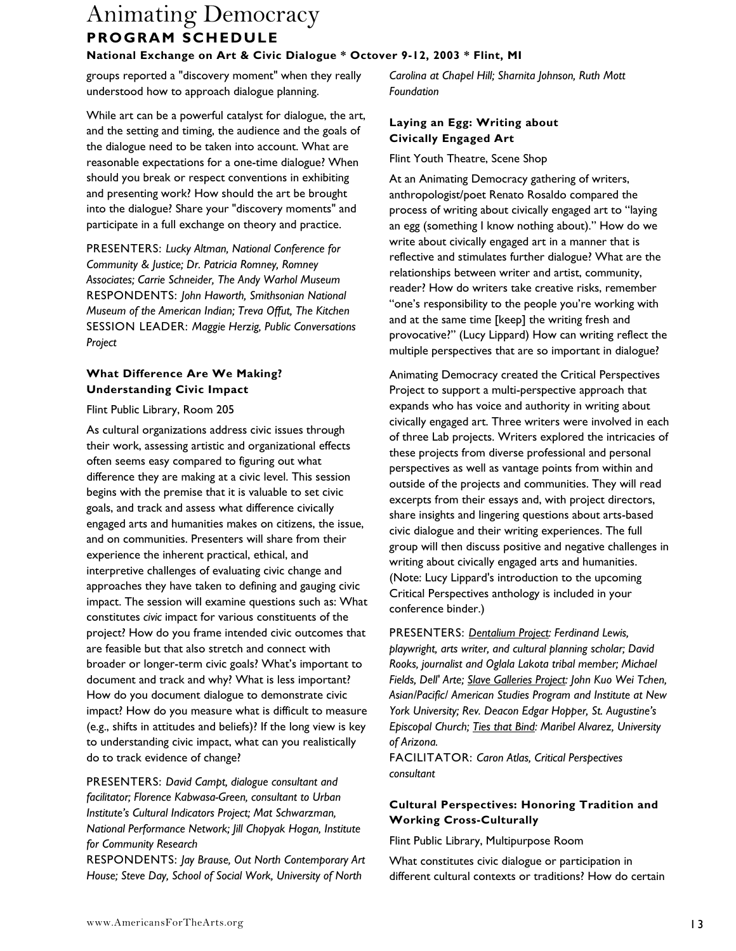groups reported a "discovery moment" when they really understood how to approach dialogue planning.

While art can be a powerful catalyst for dialogue, the art, and the setting and timing, the audience and the goals of the dialogue need to be taken into account. What are reasonable expectations for a one-time dialogue? When should you break or respect conventions in exhibiting and presenting work? How should the art be brought into the dialogue? Share your "discovery moments" and participate in a full exchange on theory and practice.

PRESENTERS: *Lucky Altman, National Conference for Community & Justice; Dr. Patricia Romney, Romney Associates; Carrie Schneider, The Andy Warhol Museum* RESPONDENTS: *John Haworth, Smithsonian National Museum of the American Indian; Treva Offut, The Kitchen* SESSION LEADER: *Maggie Herzig, Public Conversations Project*

#### **What Difference Are We Making? Understanding Civic Impact**

#### Flint Public Library, Room 205

As cultural organizations address civic issues through their work, assessing artistic and organizational effects often seems easy compared to figuring out what difference they are making at a civic level. This session begins with the premise that it is valuable to set civic goals, and track and assess what difference civically engaged arts and humanities makes on citizens, the issue, and on communities. Presenters will share from their experience the inherent practical, ethical, and interpretive challenges of evaluating civic change and approaches they have taken to defining and gauging civic impact. The session will examine questions such as: What constitutes *civic* impact for various constituents of the project? How do you frame intended civic outcomes that are feasible but that also stretch and connect with broader or longer-term civic goals? What's important to document and track and why? What is less important? How do you document dialogue to demonstrate civic impact? How do you measure what is difficult to measure (e.g., shifts in attitudes and beliefs)? If the long view is key to understanding civic impact, what can you realistically do to track evidence of change?

PRESENTERS: *David Campt, dialogue consultant and facilitator; Florence Kabwasa-Green, consultant to Urban Institute's Cultural Indicators Project; Mat Schwarzman, National Performance Network; Jill Chopyak Hogan, Institute for Community Research*

RESPONDENTS: *Jay Brause, Out North Contemporary Art House; Steve Day, School of Social Work, University of North* 

*Carolina at Chapel Hill; Sharnita Johnson, Ruth Mott Foundation*

#### **Laying an Egg: Writing about Civically Engaged Art**

Flint Youth Theatre, Scene Shop

At an Animating Democracy gathering of writers, anthropologist/poet Renato Rosaldo compared the process of writing about civically engaged art to "laying an egg (something I know nothing about)." How do we write about civically engaged art in a manner that is reflective and stimulates further dialogue? What are the relationships between writer and artist, community, reader? How do writers take creative risks, remember "one's responsibility to the people you're working with and at the same time [keep] the writing fresh and provocative?" (Lucy Lippard) How can writing reflect the multiple perspectives that are so important in dialogue?

Animating Democracy created the Critical Perspectives Project to support a multi-perspective approach that expands who has voice and authority in writing about civically engaged art. Three writers were involved in each of three Lab projects. Writers explored the intricacies of these projects from diverse professional and personal perspectives as well as vantage points from within and outside of the projects and communities. They will read excerpts from their essays and, with project directors, share insights and lingering questions about arts-based civic dialogue and their writing experiences. The full group will then discuss positive and negative challenges in writing about civically engaged arts and humanities. (Note: Lucy Lippard's introduction to the upcoming Critical Perspectives anthology is included in your conference binder.)

PRESENTERS: *Dentalium Project: Ferdinand Lewis, playwright, arts writer, and cultural planning scholar; David Rooks, journalist and Oglala Lakota tribal member; Michael Fields, Dell' Arte; Slave Galleries Project: John Kuo Wei Tchen, Asian/Pacific/ American Studies Program and Institute at New York University; Rev. Deacon Edgar Hopper, St. Augustine's Episcopal Church; Ties that Bind: Maribel Alvarez, University of Arizona.* 

FACILITATOR: *Caron Atlas, Critical Perspectives consultant* 

#### **Cultural Perspectives: Honoring Tradition and Working Cross-Culturally**

Flint Public Library, Multipurpose Room

What constitutes civic dialogue or participation in different cultural contexts or traditions? How do certain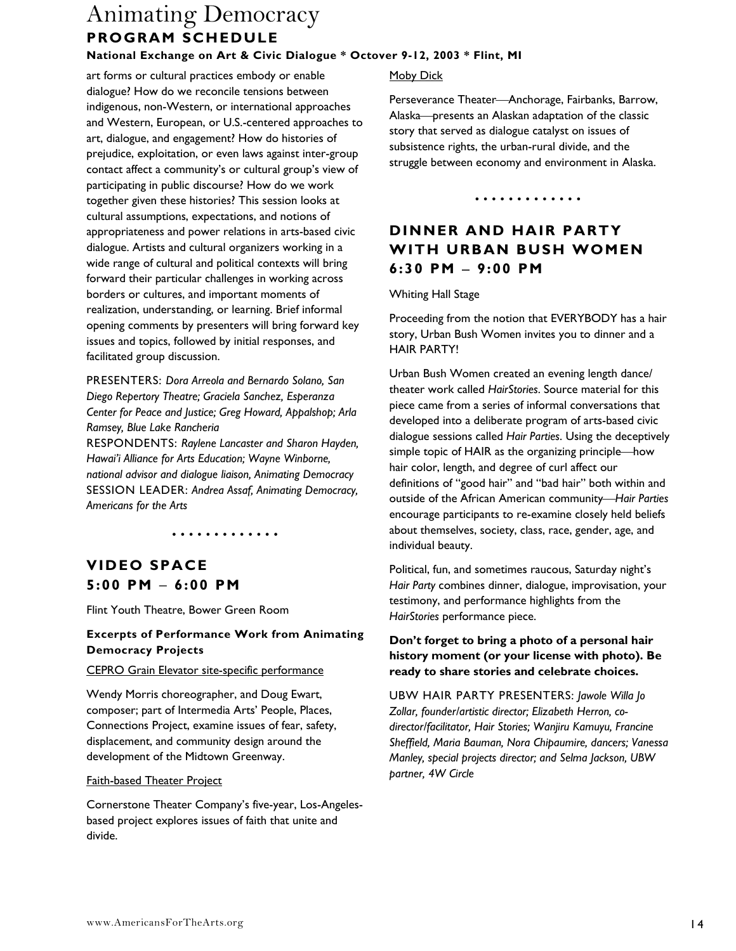art forms or cultural practices embody or enable dialogue? How do we reconcile tensions between indigenous, non-Western, or international approaches and Western, European, or U.S.-centered approaches to art, dialogue, and engagement? How do histories of prejudice, exploitation, or even laws against inter-group contact affect a community's or cultural group's view of participating in public discourse? How do we work together given these histories? This session looks at cultural assumptions, expectations, and notions of appropriateness and power relations in arts-based civic dialogue. Artists and cultural organizers working in a wide range of cultural and political contexts will bring forward their particular challenges in working across borders or cultures, and important moments of realization, understanding, or learning. Brief informal opening comments by presenters will bring forward key issues and topics, followed by initial responses, and facilitated group discussion.

PRESENTERS: *Dora Arreola and Bernardo Solano, San Diego Repertory Theatre; Graciela Sanchez, Esperanza Center for Peace and Justice; Greg Howard, Appalshop; Arla Ramsey, Blue Lake Rancheria* 

RESPONDENTS: *Raylene Lancaster and Sharon Hayden, Hawai'i Alliance for Arts Education; Wayne Winborne, national advisor and dialogue liaison, Animating Democracy*  SESSION LEADER: *Andrea Assaf, Animating Democracy, Americans for the Arts* 

•••• ••• • •••• •

# **VIDEO SPACE 5:00 PM** − **6:00 PM**

Flint Youth Theatre, Bower Green Room

#### **Excerpts of Performance Work from Animating Democracy Projects**

#### CEPRO Grain Elevator site-specific performance

Wendy Morris choreographer, and Doug Ewart, composer; part of Intermedia Arts' People, Places, Connections Project, examine issues of fear, safety, displacement, and community design around the development of the Midtown Greenway.

#### Faith-based Theater Project

Cornerstone Theater Company's five-year, Los-Angelesbased project explores issues of faith that unite and divide.

#### Moby Dick

Perseverance Theater-Anchorage, Fairbanks, Barrow, Alaska presents an Alaskan adaptation of the classic story that served as dialogue catalyst on issues of subsistence rights, the urban-rural divide, and the struggle between economy and environment in Alaska.

•••• ••• • •••• •

## **DINNER AND HAIR PARTY WITH URBAN BUSH WOMEN 6:30 PM** − **9:00 PM**

Whiting Hall Stage

Proceeding from the notion that EVERYBODY has a hair story, Urban Bush Women invites you to dinner and a HAIR PARTY!

Urban Bush Women created an evening length dance/ theater work called *HairStories*. Source material for this piece came from a series of informal conversations that developed into a deliberate program of arts-based civic dialogue sessions called *Hair Parties*. Using the deceptively simple topic of HAIR as the organizing principle—how hair color, length, and degree of curl affect our definitions of "good hair" and "bad hair" both within and outside of the African American community-*Hair Parties* encourage participants to re-examine closely held beliefs about themselves, society, class, race, gender, age, and individual beauty.

Political, fun, and sometimes raucous, Saturday night's *Hair Party* combines dinner, dialogue, improvisation, your testimony, and performance highlights from the *HairStories* performance piece.

#### **Don't forget to bring a photo of a personal hair history moment (or your license with photo). Be ready to share stories and celebrate choices.**

UBW HAIR PARTY PRESENTERS: *Jawole Willa Jo Zollar, founder/artistic director; Elizabeth Herron, codirector/facilitator, Hair Stories; Wanjiru Kamuyu, Francine Sheffield, Maria Bauman, Nora Chipaumire, dancers; Vanessa Manley, special projects director; and Selma Jackson, UBW partner, 4W Circle*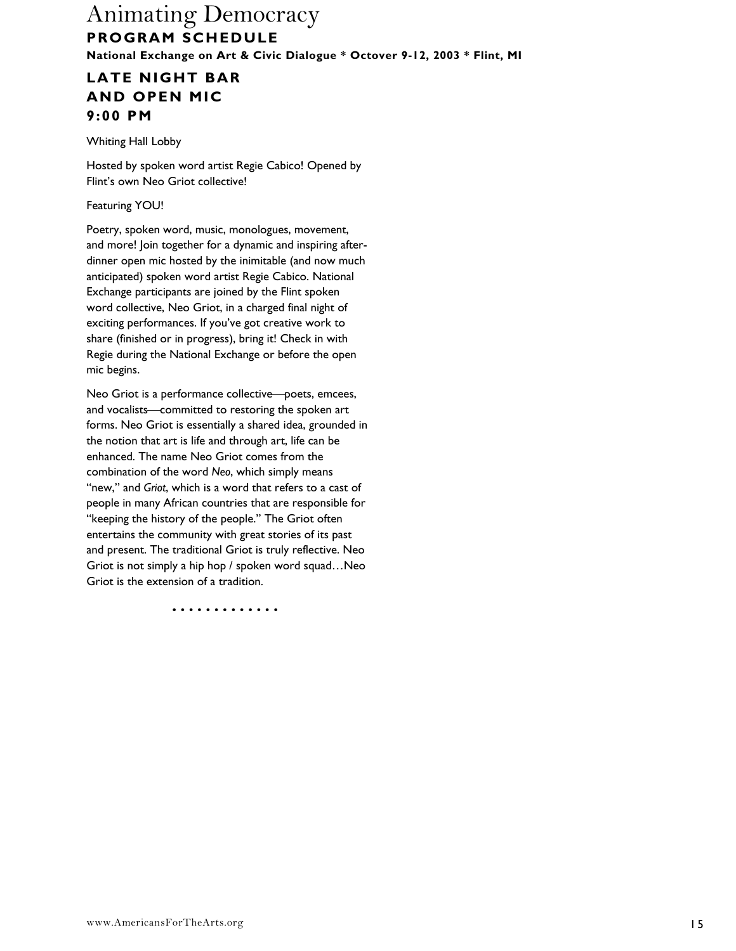### **LATE NIGHT BAR AND OPEN MIC 9:00 PM**

Whiting Hall Lobby

Hosted by spoken word artist Regie Cabico! Opened by Flint's own Neo Griot collective!

Featuring YOU!

Poetry, spoken word, music, monologues, movement, and more! Join together for a dynamic and inspiring afterdinner open mic hosted by the inimitable (and now much anticipated) spoken word artist Regie Cabico. National Exchange participants are joined by the Flint spoken word collective, Neo Griot, in a charged final night of exciting performances. If you've got creative work to share (finished or in progress), bring it! Check in with Regie during the National Exchange or before the open mic begins.

Neo Griot is a performance collective poets, emcees, and vocalists—committed to restoring the spoken art forms. Neo Griot is essentially a shared idea, grounded in the notion that art is life and through art, life can be enhanced. The name Neo Griot comes from the combination of the word *Neo*, which simply means "new," and *Griot*, which is a word that refers to a cast of people in many African countries that are responsible for "keeping the history of the people." The Griot often entertains the community with great stories of its past and present. The traditional Griot is truly reflective. Neo Griot is not simply a hip hop / spoken word squad…Neo Griot is the extension of a tradition.